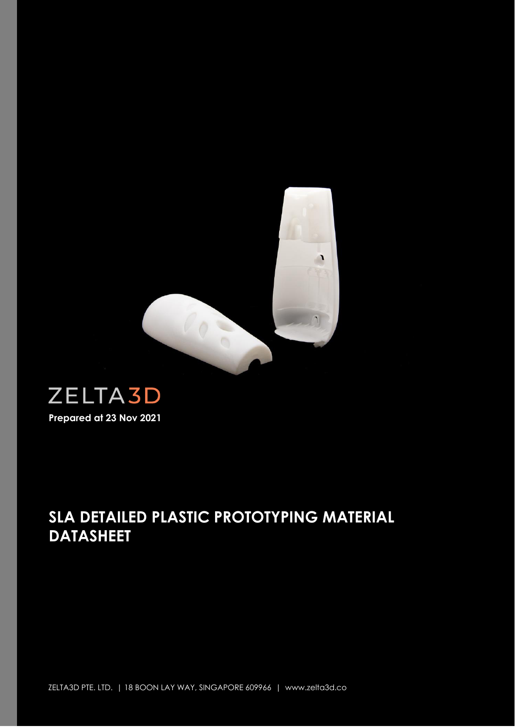

# **ZELTA3D Prepared at 23 Nov 2021**

## **SLA DETAILED PLASTIC PROTOTYPING MATERIAL DATASHEET**